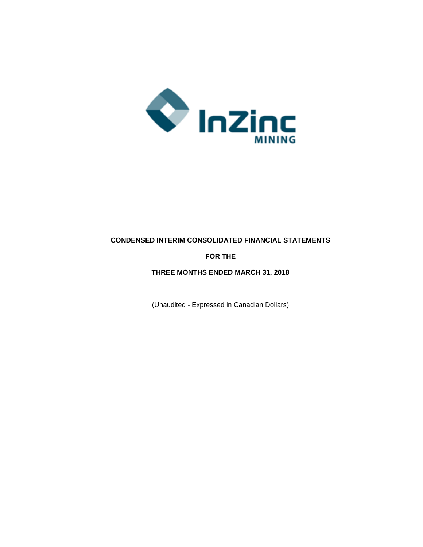

# **CONDENSED INTERIM CONSOLIDATED FINANCIAL STATEMENTS**

# **FOR THE**

# **THREE MONTHS ENDED MARCH 31, 2018**

(Unaudited - Expressed in Canadian Dollars)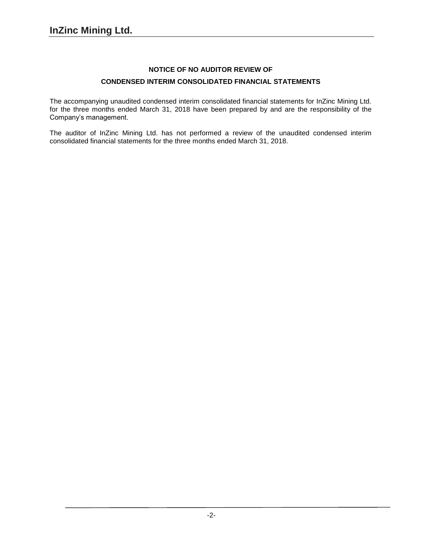# **NOTICE OF NO AUDITOR REVIEW OF**

# **CONDENSED INTERIM CONSOLIDATED FINANCIAL STATEMENTS**

The accompanying unaudited condensed interim consolidated financial statements for InZinc Mining Ltd. for the three months ended March 31, 2018 have been prepared by and are the responsibility of the Company's management.

The auditor of InZinc Mining Ltd. has not performed a review of the unaudited condensed interim consolidated financial statements for the three months ended March 31, 2018.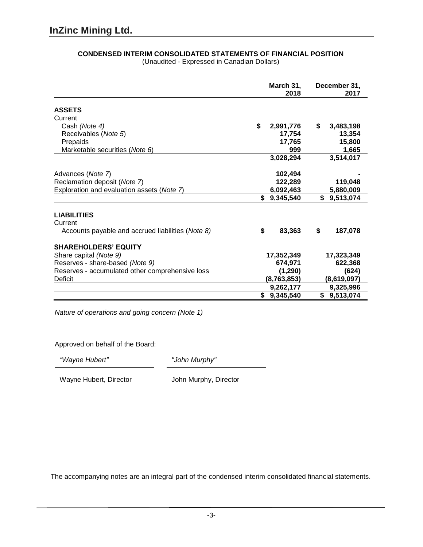|                                                   | March 31,<br>2018 | December 31,<br>2017 |
|---------------------------------------------------|-------------------|----------------------|
| <b>ASSETS</b>                                     |                   |                      |
| Current                                           |                   |                      |
| Cash (Note 4)                                     | \$<br>2,991,776   | 3,483,198<br>\$      |
| Receivables (Note 5)                              | 17,754            | 13,354               |
| Prepaids                                          | 17,765            | 15,800               |
| Marketable securities (Note 6)                    | 999               | 1,665                |
|                                                   | 3,028,294         | 3,514,017            |
| Advances (Note 7)                                 | 102,494           |                      |
| Reclamation deposit (Note 7)                      | 122,289           | 119,048              |
| Exploration and evaluation assets (Note 7)        | 6,092,463         | 5,880,009            |
|                                                   | \$9,345,540       | \$9,513,074          |
| <b>LIABILITIES</b>                                |                   |                      |
| Current                                           |                   |                      |
| Accounts payable and accrued liabilities (Note 8) | \$<br>83,363      | \$<br>187,078        |
| <b>SHAREHOLDERS' EQUITY</b>                       |                   |                      |
| Share capital (Note 9)                            | 17,352,349        | 17,323,349           |
| Reserves - share-based (Note 9)                   | 674,971           | 622,368              |
| Reserves - accumulated other comprehensive loss   | (1, 290)          | (624)                |
| Deficit                                           | (8,763,853)       | (8,619,097)          |
|                                                   | 9,262,177         | 9,325,996            |
|                                                   | 9,345,540<br>S.   | \$9,513,074          |

# **CONDENSED INTERIM CONSOLIDATED STATEMENTS OF FINANCIAL POSITION**

(Unaudited - Expressed in Canadian Dollars)

*Nature of operations and going concern (Note 1)*

Approved on behalf of the Board:

*"Wayne Hubert" "John Murphy"*

Wayne Hubert, Director **John Murphy, Director**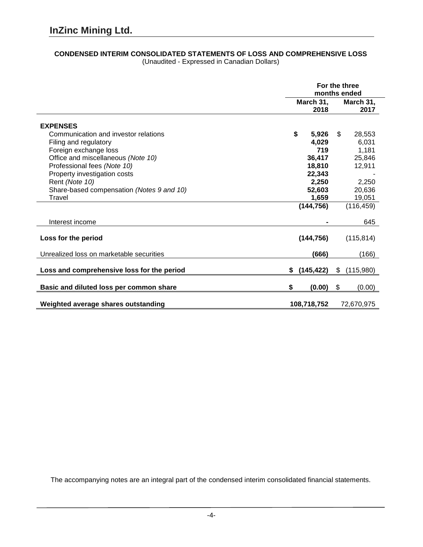# **CONDENSED INTERIM CONSOLIDATED STATEMENTS OF LOSS AND COMPREHENSIVE LOSS**

|                                            | For the three<br>months ended |                   |
|--------------------------------------------|-------------------------------|-------------------|
|                                            | March 31,<br>2018             | March 31,<br>2017 |
| <b>EXPENSES</b>                            |                               |                   |
| Communication and investor relations       | \$<br>5,926                   | \$<br>28,553      |
| Filing and regulatory                      | 4,029                         | 6,031             |
| Foreign exchange loss                      | 719                           | 1,181             |
| Office and miscellaneous (Note 10)         | 36,417                        | 25,846            |
| Professional fees (Note 10)                | 18,810                        | 12,911            |
| Property investigation costs               | 22,343                        |                   |
| Rent (Note 10)                             | 2,250                         | 2,250             |
| Share-based compensation (Notes 9 and 10)  | 52,603                        | 20,636            |
| Travel                                     | 1,659                         | 19,051            |
|                                            | (144, 756)                    | (116, 459)        |
| Interest income                            |                               | 645               |
| Loss for the period                        | (144, 756)                    | (115, 814)        |
| Unrealized loss on marketable securities   | (666)                         | (166)             |
| Loss and comprehensive loss for the period | (145, 422)<br>\$              | \$<br>(115,980)   |
| Basic and diluted loss per common share    | \$<br>(0.00)                  | \$<br>(0.00)      |
| Weighted average shares outstanding        | 108,718,752                   | 72,670,975        |

(Unaudited - Expressed in Canadian Dollars)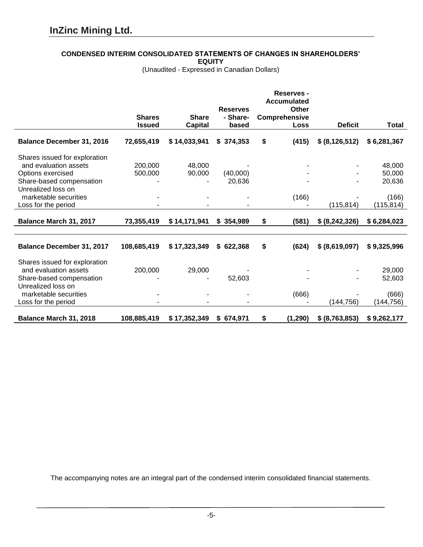# **CONDENSED INTERIM CONSOLIDATED STATEMENTS OF CHANGES IN SHAREHOLDERS'**

**EQUITY**

(Unaudited - Expressed in Canadian Dollars)

|                                               |                                |                                | <b>Reserves</b>    | Reserves -<br><b>Accumulated</b><br>Other |                  |                  |
|-----------------------------------------------|--------------------------------|--------------------------------|--------------------|-------------------------------------------|------------------|------------------|
|                                               | <b>Shares</b><br><b>Issued</b> | <b>Share</b><br><b>Capital</b> | - Share-<br>based  | Comprehensive<br><b>Loss</b>              | <b>Deficit</b>   | <b>Total</b>     |
| <b>Balance December 31, 2016</b>              | 72,655,419                     | \$14,033,941                   | \$374,353          | \$<br>(415)                               | \$ (8, 126, 512) | \$6,281,367      |
| Shares issued for exploration                 |                                |                                |                    |                                           |                  |                  |
| and evaluation assets                         | 200,000                        | 48,000                         |                    |                                           |                  | 48,000           |
| Options exercised<br>Share-based compensation | 500,000                        | 90,000                         | (40,000)<br>20,636 |                                           |                  | 50,000<br>20,636 |
| Unrealized loss on                            |                                |                                |                    |                                           |                  |                  |
| marketable securities                         |                                |                                |                    | (166)                                     |                  | (166)            |
| Loss for the period                           |                                |                                |                    |                                           | (115, 814)       | (115, 814)       |
| Balance March 31, 2017                        | 73,355,419                     | \$14,171,941                   | \$354,989          | \$<br>(581)                               | \$ (8, 242, 326) | \$6,284,023      |
|                                               |                                |                                |                    |                                           |                  |                  |
| <b>Balance December 31, 2017</b>              | 108,685,419                    | \$17,323,349                   | \$622,368          | \$<br>(624)                               | \$ (8,619,097)   | \$9,325,996      |
| Shares issued for exploration                 |                                |                                |                    |                                           |                  |                  |
| and evaluation assets                         | 200,000                        | 29,000                         |                    |                                           |                  | 29,000           |
| Share-based compensation                      |                                |                                | 52,603             |                                           |                  | 52,603           |
| Unrealized loss on<br>marketable securities   |                                |                                |                    | (666)                                     |                  | (666)            |
| Loss for the period                           |                                |                                |                    |                                           | (144, 756)       | (144, 756)       |
|                                               |                                |                                |                    |                                           |                  |                  |
| Balance March 31, 2018                        | 108,885,419                    | \$17,352,349                   | \$674,971          | \$<br>(1, 290)                            | \$ (8,763,853)   | \$9,262,177      |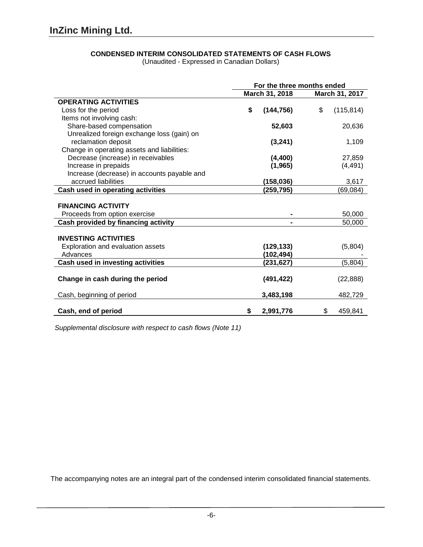# **CONDENSED INTERIM CONSOLIDATED STATEMENTS OF CASH FLOWS**

(Unaudited - Expressed in Canadian Dollars)

|                                             | For the three months ended |                  |  |
|---------------------------------------------|----------------------------|------------------|--|
|                                             | March 31, 2018             | March 31, 2017   |  |
| <b>OPERATING ACTIVITIES</b>                 |                            |                  |  |
| Loss for the period                         | \$<br>(144, 756)           | \$<br>(115, 814) |  |
| Items not involving cash:                   |                            |                  |  |
| Share-based compensation                    | 52,603                     | 20,636           |  |
| Unrealized foreign exchange loss (gain) on  |                            |                  |  |
| reclamation deposit                         | (3, 241)                   | 1,109            |  |
| Change in operating assets and liabilities: |                            |                  |  |
| Decrease (increase) in receivables          | (4, 400)                   | 27,859           |  |
| Increase in prepaids                        | (1, 965)                   | (4, 491)         |  |
| Increase (decrease) in accounts payable and |                            |                  |  |
| accrued liabilities                         | (158, 036)                 | 3,617            |  |
| Cash used in operating activities           | (259,795)                  | (69, 084)        |  |
|                                             |                            |                  |  |
| <b>FINANCING ACTIVITY</b>                   |                            |                  |  |
| Proceeds from option exercise               |                            | 50,000           |  |
| Cash provided by financing activity         |                            | 50,000           |  |
| <b>INVESTING ACTIVITIES</b>                 |                            |                  |  |
| Exploration and evaluation assets           | (129, 133)                 | (5,804)          |  |
| Advances                                    | (102,494)                  |                  |  |
| Cash used in investing activities           | (231,627)                  | (5,804)          |  |
|                                             |                            |                  |  |
| Change in cash during the period            | (491, 422)                 | (22, 888)        |  |
|                                             |                            |                  |  |
| Cash, beginning of period                   | 3,483,198                  | 482,729          |  |
|                                             |                            |                  |  |
| Cash, end of period                         | \$<br>2,991,776            | \$<br>459,841    |  |

*Supplemental disclosure with respect to cash flows (Note 11)*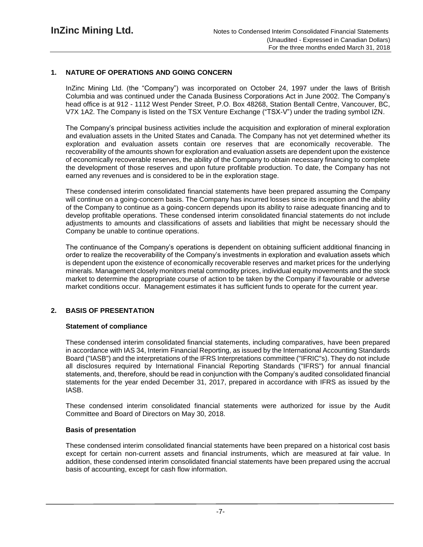# **1. NATURE OF OPERATIONS AND GOING CONCERN**

InZinc Mining Ltd. (the "Company") was incorporated on October 24, 1997 under the laws of British Columbia and was continued under the Canada Business Corporations Act in June 2002. The Company's head office is at 912 - 1112 West Pender Street, P.O. Box 48268, Station Bentall Centre, Vancouver, BC, V7X 1A2. The Company is listed on the TSX Venture Exchange ("TSX-V") under the trading symbol IZN.

The Company's principal business activities include the acquisition and exploration of mineral exploration and evaluation assets in the United States and Canada. The Company has not yet determined whether its exploration and evaluation assets contain ore reserves that are economically recoverable. The recoverability of the amounts shown for exploration and evaluation assets are dependent upon the existence of economically recoverable reserves, the ability of the Company to obtain necessary financing to complete the development of those reserves and upon future profitable production. To date, the Company has not earned any revenues and is considered to be in the exploration stage.

These condensed interim consolidated financial statements have been prepared assuming the Company will continue on a going-concern basis. The Company has incurred losses since its inception and the ability of the Company to continue as a going-concern depends upon its ability to raise adequate financing and to develop profitable operations. These condensed interim consolidated financial statements do not include adjustments to amounts and classifications of assets and liabilities that might be necessary should the Company be unable to continue operations.

The continuance of the Company's operations is dependent on obtaining sufficient additional financing in order to realize the recoverability of the Company's investments in exploration and evaluation assets which is dependent upon the existence of economically recoverable reserves and market prices for the underlying minerals. Management closely monitors metal commodity prices, individual equity movements and the stock market to determine the appropriate course of action to be taken by the Company if favourable or adverse market conditions occur. Management estimates it has sufficient funds to operate for the current year.

# **2. BASIS OF PRESENTATION**

# **Statement of compliance**

These condensed interim consolidated financial statements, including comparatives, have been prepared in accordance with IAS 34, Interim Financial Reporting, as issued by the International Accounting Standards Board ("IASB") and the interpretations of the IFRS Interpretations committee ("IFRIC"s). They do not include all disclosures required by International Financial Reporting Standards ("IFRS") for annual financial statements, and, therefore, should be read in conjunction with the Company's audited consolidated financial statements for the year ended December 31, 2017, prepared in accordance with IFRS as issued by the IASB.

These condensed interim consolidated financial statements were authorized for issue by the Audit Committee and Board of Directors on May 30, 2018.

# **Basis of presentation**

These condensed interim consolidated financial statements have been prepared on a historical cost basis except for certain non-current assets and financial instruments, which are measured at fair value. In addition, these condensed interim consolidated financial statements have been prepared using the accrual basis of accounting, except for cash flow information.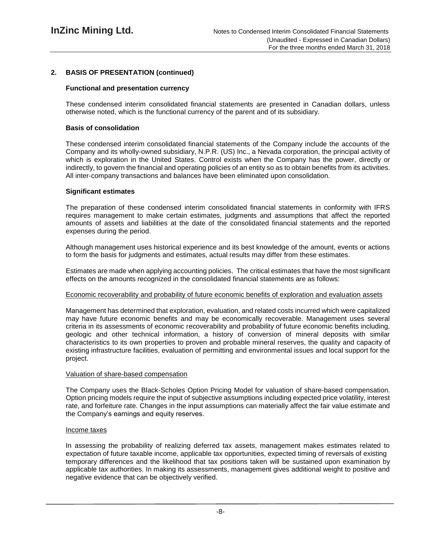# **2. BASIS OF PRESENTATION (continued)**

# **Functional and presentation currency**

These condensed interim consolidated financial statements are presented in Canadian dollars, unless otherwise noted, which is the functional currency of the parent and of its subsidiary.

### **Basis of consolidation**

These condensed interim consolidated financial statements of the Company include the accounts of the Company and its wholly-owned subsidiary, N.P.R. (US) Inc., a Nevada corporation, the principal activity of which is exploration in the United States. Control exists when the Company has the power, directly or indirectly, to govern the financial and operating policies of an entity so as to obtain benefits from its activities. All inter-company transactions and balances have been eliminated upon consolidation.

# **Significant estimates**

The preparation of these condensed interim consolidated financial statements in conformity with IFRS requires management to make certain estimates, judgments and assumptions that affect the reported amounts of assets and liabilities at the date of the consolidated financial statements and the reported expenses during the period.

Although management uses historical experience and its best knowledge of the amount, events or actions to form the basis for judgments and estimates, actual results may differ from these estimates.

Estimates are made when applying accounting policies. The critical estimates that have the most significant effects on the amounts recognized in the consolidated financial statements are as follows:

## Economic recoverability and probability of future economic benefits of exploration and evaluation assets

Management has determined that exploration, evaluation, and related costs incurred which were capitalized may have future economic benefits and may be economically recoverable. Management uses several criteria in its assessments of economic recoverability and probability of future economic benefits including, geologic and other technical information, a history of conversion of mineral deposits with similar characteristics to its own properties to proven and probable mineral reserves, the quality and capacity of existing infrastructure facilities, evaluation of permitting and environmental issues and local support for the project.

#### Valuation of share-based compensation

The Company uses the Black-Scholes Option Pricing Model for valuation of share-based compensation. Option pricing models require the input of subjective assumptions including expected price volatility, interest rate, and forfeiture rate. Changes in the input assumptions can materially affect the fair value estimate and the Company's earnings and equity reserves.

#### Income taxes

In assessing the probability of realizing deferred tax assets, management makes estimates related to expectation of future taxable income, applicable tax opportunities, expected timing of reversals of existing temporary differences and the likelihood that tax positions taken will be sustained upon examination by applicable tax authorities. In making its assessments, management gives additional weight to positive and negative evidence that can be objectively verified.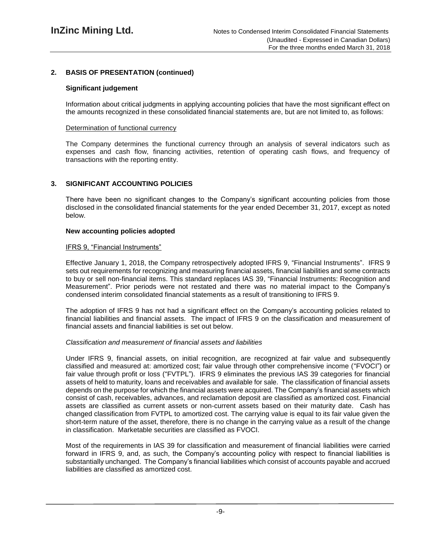# **2. BASIS OF PRESENTATION (continued)**

## **Significant judgement**

Information about critical judgments in applying accounting policies that have the most significant effect on the amounts recognized in these consolidated financial statements are, but are not limited to, as follows:

#### Determination of functional currency

The Company determines the functional currency through an analysis of several indicators such as expenses and cash flow, financing activities, retention of operating cash flows, and frequency of transactions with the reporting entity.

# **3. SIGNIFICANT ACCOUNTING POLICIES**

There have been no significant changes to the Company's significant accounting policies from those disclosed in the consolidated financial statements for the year ended December 31, 2017, except as noted below.

## **New accounting policies adopted**

## IFRS 9, "Financial Instruments"

Effective January 1, 2018, the Company retrospectively adopted IFRS 9, "Financial Instruments". IFRS 9 sets out requirements for recognizing and measuring financial assets, financial liabilities and some contracts to buy or sell non-financial items. This standard replaces IAS 39, "Financial Instruments: Recognition and Measurement". Prior periods were not restated and there was no material impact to the Company's condensed interim consolidated financial statements as a result of transitioning to IFRS 9.

The adoption of IFRS 9 has not had a significant effect on the Company's accounting policies related to financial liabilities and financial assets. The impact of IFRS 9 on the classification and measurement of financial assets and financial liabilities is set out below.

#### *Classification and measurement of financial assets and liabilities*

Under IFRS 9, financial assets, on initial recognition, are recognized at fair value and subsequently classified and measured at: amortized cost; fair value through other comprehensive income ("FVOCI") or fair value through profit or loss ("FVTPL"). IFRS 9 eliminates the previous IAS 39 categories for financial assets of held to maturity, loans and receivables and available for sale. The classification of financial assets depends on the purpose for which the financial assets were acquired. The Company's financial assets which consist of cash, receivables, advances, and reclamation deposit are classified as amortized cost. Financial assets are classified as current assets or non-current assets based on their maturity date. Cash has changed classification from FVTPL to amortized cost. The carrying value is equal to its fair value given the short-term nature of the asset, therefore, there is no change in the carrying value as a result of the change in classification. Marketable securities are classified as FVOCI.

Most of the requirements in IAS 39 for classification and measurement of financial liabilities were carried forward in IFRS 9, and, as such, the Company's accounting policy with respect to financial liabilities is substantially unchanged. The Company's financial liabilities which consist of accounts payable and accrued liabilities are classified as amortized cost.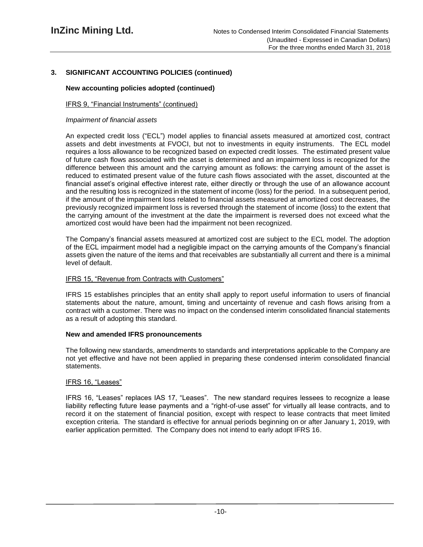# **3. SIGNIFICANT ACCOUNTING POLICIES (continued)**

# **New accounting policies adopted (continued)**

# IFRS 9, "Financial Instruments" (continued)

## *Impairment of financial assets*

An expected credit loss ("ECL") model applies to financial assets measured at amortized cost, contract assets and debt investments at FVOCI, but not to investments in equity instruments. The ECL model requires a loss allowance to be recognized based on expected credit losses. The estimated present value of future cash flows associated with the asset is determined and an impairment loss is recognized for the difference between this amount and the carrying amount as follows: the carrying amount of the asset is reduced to estimated present value of the future cash flows associated with the asset, discounted at the financial asset's original effective interest rate, either directly or through the use of an allowance account and the resulting loss is recognized in the statement of income (loss) for the period. In a subsequent period, if the amount of the impairment loss related to financial assets measured at amortized cost decreases, the previously recognized impairment loss is reversed through the statement of income (loss) to the extent that the carrying amount of the investment at the date the impairment is reversed does not exceed what the amortized cost would have been had the impairment not been recognized.

The Company's financial assets measured at amortized cost are subject to the ECL model. The adoption of the ECL impairment model had a negligible impact on the carrying amounts of the Company's financial assets given the nature of the items and that receivables are substantially all current and there is a minimal level of default.

# IFRS 15, "Revenue from Contracts with Customers"

IFRS 15 establishes principles that an entity shall apply to report useful information to users of financial statements about the nature, amount, timing and uncertainty of revenue and cash flows arising from a contract with a customer. There was no impact on the condensed interim consolidated financial statements as a result of adopting this standard.

# **New and amended IFRS pronouncements**

The following new standards, amendments to standards and interpretations applicable to the Company are not yet effective and have not been applied in preparing these condensed interim consolidated financial statements.

# IFRS 16, "Leases"

IFRS 16, "Leases" replaces IAS 17, "Leases". The new standard requires lessees to recognize a lease liability reflecting future lease payments and a "right-of-use asset" for virtually all lease contracts, and to record it on the statement of financial position, except with respect to lease contracts that meet limited exception criteria. The standard is effective for annual periods beginning on or after January 1, 2019, with earlier application permitted. The Company does not intend to early adopt IFRS 16.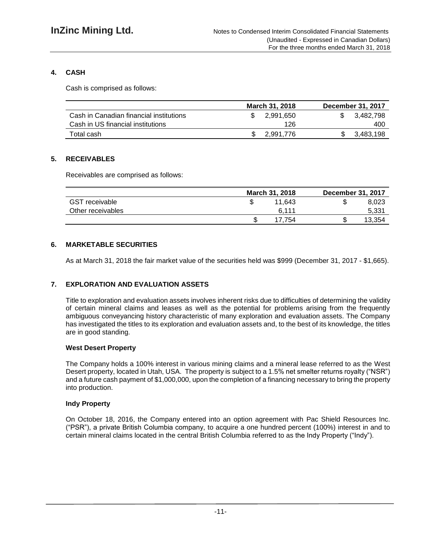# **4. CASH**

Cash is comprised as follows:

|                                         | <b>March 31, 2018</b> | <b>December 31, 2017</b> |
|-----------------------------------------|-----------------------|--------------------------|
| Cash in Canadian financial institutions | 2.991.650             | 3.482.798                |
| Cash in US financial institutions       | 126                   | 400                      |
| Total cash                              | 2,991,776             | 3,483,198                |

# **5. RECEIVABLES**

Receivables are comprised as follows:

|                       | March 31, 2018 | <b>December 31, 2017</b> |
|-----------------------|----------------|--------------------------|
| <b>GST</b> receivable | 11.643         | 8,023                    |
| Other receivables     | 6.111          | 5,331                    |
|                       | 17.754         | 13,354                   |

# **6. MARKETABLE SECURITIES**

As at March 31, 2018 the fair market value of the securities held was \$999 (December 31, 2017 - \$1,665).

# **7. EXPLORATION AND EVALUATION ASSETS**

Title to exploration and evaluation assets involves inherent risks due to difficulties of determining the validity of certain mineral claims and leases as well as the potential for problems arising from the frequently ambiguous conveyancing history characteristic of many exploration and evaluation assets. The Company has investigated the titles to its exploration and evaluation assets and, to the best of its knowledge, the titles are in good standing.

# **West Desert Property**

The Company holds a 100% interest in various mining claims and a mineral lease referred to as the West Desert property, located in Utah, USA. The property is subject to a 1.5% net smelter returns royalty ("NSR") and a future cash payment of \$1,000,000, upon the completion of a financing necessary to bring the property into production.

# **Indy Property**

On October 18, 2016, the Company entered into an option agreement with Pac Shield Resources Inc. ("PSR"), a private British Columbia company, to acquire a one hundred percent (100%) interest in and to certain mineral claims located in the central British Columbia referred to as the Indy Property ("Indy").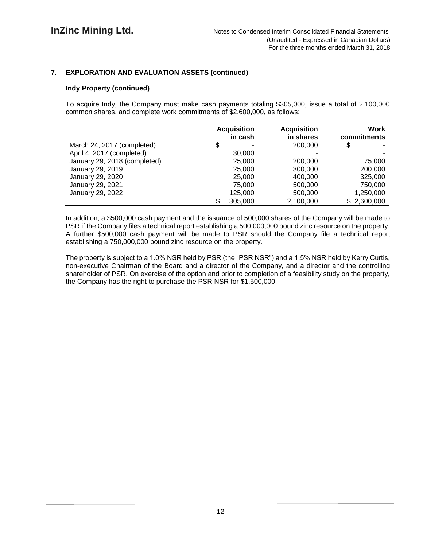# **7. EXPLORATION AND EVALUATION ASSETS (continued)**

## **Indy Property (continued)**

To acquire Indy, the Company must make cash payments totaling \$305,000, issue a total of 2,100,000 common shares, and complete work commitments of \$2,600,000, as follows:

|                              | <b>Acquisition</b> |         | <b>Acquisition</b> | Work        |
|------------------------------|--------------------|---------|--------------------|-------------|
|                              |                    | in cash | in shares          | commitments |
| March 24, 2017 (completed)   |                    | -       | 200,000            |             |
| April 4, 2017 (completed)    |                    | 30,000  |                    |             |
| January 29, 2018 (completed) |                    | 25,000  | 200,000            | 75,000      |
| January 29, 2019             |                    | 25,000  | 300,000            | 200,000     |
| January 29, 2020             |                    | 25,000  | 400,000            | 325,000     |
| January 29, 2021             |                    | 75,000  | 500,000            | 750,000     |
| January 29, 2022             |                    | 125,000 | 500,000            | 1,250,000   |
|                              |                    | 305,000 | 2,100,000          | \$2,600,000 |

In addition, a \$500,000 cash payment and the issuance of 500,000 shares of the Company will be made to PSR if the Company files a technical report establishing a 500,000,000 pound zinc resource on the property. A further \$500,000 cash payment will be made to PSR should the Company file a technical report establishing a 750,000,000 pound zinc resource on the property.

The property is subject to a 1.0% NSR held by PSR (the "PSR NSR") and a 1.5% NSR held by Kerry Curtis, non-executive Chairman of the Board and a director of the Company, and a director and the controlling shareholder of PSR. On exercise of the option and prior to completion of a feasibility study on the property, the Company has the right to purchase the PSR NSR for \$1,500,000.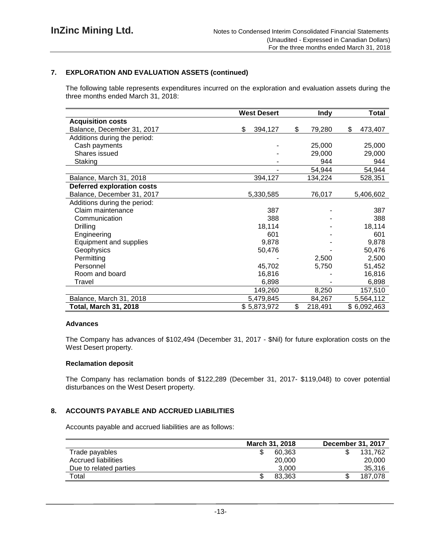# **7. EXPLORATION AND EVALUATION ASSETS (continued)**

The following table represents expenditures incurred on the exploration and evaluation assets during the three months ended March 31, 2018:

|                                   | <b>West Desert</b> | <b>Indy</b>   | <b>Total</b>  |
|-----------------------------------|--------------------|---------------|---------------|
| <b>Acquisition costs</b>          |                    |               |               |
| Balance, December 31, 2017        | \$<br>394,127      | \$<br>79,280  | \$<br>473,407 |
| Additions during the period:      |                    |               |               |
| Cash payments                     |                    | 25,000        | 25,000        |
| Shares issued                     |                    | 29,000        | 29,000        |
| Staking                           |                    | 944           | 944           |
|                                   |                    | 54,944        | 54,944        |
| Balance, March 31, 2018           | 394,127            | 134,224       | 528,351       |
| <b>Deferred exploration costs</b> |                    |               |               |
| Balance, December 31, 2017        | 5,330,585          | 76,017        | 5,406,602     |
| Additions during the period:      |                    |               |               |
| Claim maintenance                 | 387                |               | 387           |
| Communication                     | 388                |               | 388           |
| <b>Drilling</b>                   | 18,114             |               | 18,114        |
| Engineering                       | 601                |               | 601           |
| Equipment and supplies            | 9,878              |               | 9,878         |
| Geophysics                        | 50,476             |               | 50,476        |
| Permitting                        |                    | 2,500         | 2,500         |
| Personnel                         | 45,702             | 5,750         | 51,452        |
| Room and board                    | 16,816             |               | 16,816        |
| Travel                            | 6,898              |               | 6,898         |
|                                   | 149,260            | 8,250         | 157,510       |
| Balance, March 31, 2018           | 5,479,845          | 84,267        | 5,564,112     |
| <b>Total, March 31, 2018</b>      | \$5,873,972        | \$<br>218,491 | \$6,092,463   |

#### **Advances**

The Company has advances of \$102,494 (December 31, 2017 - \$Nil) for future exploration costs on the West Desert property.

#### **Reclamation deposit**

The Company has reclamation bonds of \$122,289 (December 31, 2017- \$119,048) to cover potential disturbances on the West Desert property.

# **8. ACCOUNTS PAYABLE AND ACCRUED LIABILITIES**

Accounts payable and accrued liabilities are as follows:

|                        | <b>March 31, 2018</b> | <b>December 31, 2017</b> |
|------------------------|-----------------------|--------------------------|
| Trade payables         | 60.363                | 131.762                  |
| Accrued liabilities    | 20,000                | 20,000                   |
| Due to related parties | 3.000                 | 35.316                   |
| Total                  | 83.363                | 187.078                  |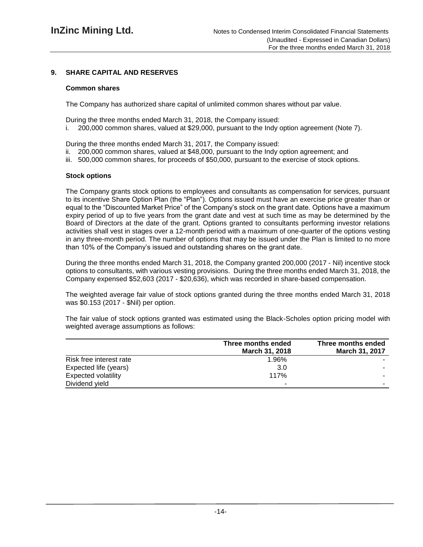# **9. SHARE CAPITAL AND RESERVES**

### **Common shares**

The Company has authorized share capital of unlimited common shares without par value.

During the three months ended March 31, 2018, the Company issued:

i. 200,000 common shares, valued at \$29,000, pursuant to the Indy option agreement (Note 7).

During the three months ended March 31, 2017, the Company issued:

- ii. 200,000 common shares, valued at \$48,000, pursuant to the Indy option agreement; and
- iii. 500,000 common shares, for proceeds of \$50,000, pursuant to the exercise of stock options.

## **Stock options**

The Company grants stock options to employees and consultants as compensation for services, pursuant to its incentive Share Option Plan (the "Plan"). Options issued must have an exercise price greater than or equal to the "Discounted Market Price" of the Company's stock on the grant date. Options have a maximum expiry period of up to five years from the grant date and vest at such time as may be determined by the Board of Directors at the date of the grant. Options granted to consultants performing investor relations activities shall vest in stages over a 12-month period with a maximum of one-quarter of the options vesting in any three-month period. The number of options that may be issued under the Plan is limited to no more than 10% of the Company's issued and outstanding shares on the grant date.

During the three months ended March 31, 2018, the Company granted 200,000 (2017 - Nil) incentive stock options to consultants, with various vesting provisions. During the three months ended March 31, 2018, the Company expensed \$52,603 (2017 - \$20,636), which was recorded in share-based compensation.

The weighted average fair value of stock options granted during the three months ended March 31, 2018 was \$0.153 (2017 - \$Nil) per option.

The fair value of stock options granted was estimated using the Black-Scholes option pricing model with weighted average assumptions as follows:

|                            | Three months ended<br><b>March 31, 2018</b> | Three months ended<br>March 31, 2017 |
|----------------------------|---------------------------------------------|--------------------------------------|
| Risk free interest rate    | 1.96%                                       |                                      |
| Expected life (years)      | 3.0                                         | $\overline{\phantom{a}}$             |
| <b>Expected volatility</b> | 117%                                        |                                      |
| Dividend yield             | -                                           |                                      |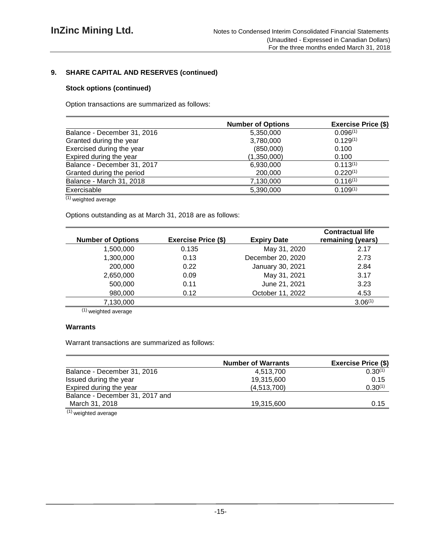# **9. SHARE CAPITAL AND RESERVES (continued)**

## **Stock options (continued)**

Option transactions are summarized as follows:

|                             | <b>Number of Options</b> | <b>Exercise Price (\$)</b> |
|-----------------------------|--------------------------|----------------------------|
| Balance - December 31, 2016 | 5,350,000                | 0.096(1)                   |
| Granted during the year     | 3,780,000                | $0.129^{(1)}$              |
| Exercised during the year   | (850,000)                | 0.100                      |
| Expired during the year     | (1,350,000)              | 0.100                      |
| Balance - December 31, 2017 | 6,930,000                | $0.113^{(1)}$              |
| Granted during the period   | 200,000                  | $0.220^{(1)}$              |
| Balance - March 31, 2018    | 7,130,000                | $0.116^{(1)}$              |
| Exercisable                 | 5,390,000                | $0.109^{(1)}$              |

(1) weighted average

Options outstanding as at March 31, 2018 are as follows:

| <b>Number of Options</b> | <b>Exercise Price (\$)</b> | <b>Expiry Date</b> | <b>Contractual life</b><br>remaining (years) |
|--------------------------|----------------------------|--------------------|----------------------------------------------|
| 1,500,000                | 0.135                      | May 31, 2020       | 2.17                                         |
| 1,300,000                | 0.13                       | December 20, 2020  | 2.73                                         |
| 200,000                  | 0.22                       | January 30, 2021   | 2.84                                         |
| 2,650,000                | 0.09                       | May 31, 2021       | 3.17                                         |
| 500,000                  | 0.11                       | June 21, 2021      | 3.23                                         |
| 980,000                  | 0.12                       | October 11, 2022   | 4.53                                         |
| 7,130,000                |                            |                    | 3.06(1)                                      |

 $(1)$  weighted average

# **Warrants**

Warrant transactions are summarized as follows:

|                                 | <b>Number of Warrants</b> | <b>Exercise Price (\$)</b> |  |  |
|---------------------------------|---------------------------|----------------------------|--|--|
| Balance - December 31, 2016     | 4.513.700                 | $0.30^{(1)}$               |  |  |
| Issued during the year          | 19,315,600                | 0.15                       |  |  |
| Expired during the year         | (4,513,700)               | 0.30(1)                    |  |  |
| Balance - December 31, 2017 and |                           |                            |  |  |
| March 31, 2018                  | 19,315,600                | 0.15                       |  |  |
| $(1)$ woighted overage          |                           |                            |  |  |

(1) weighted average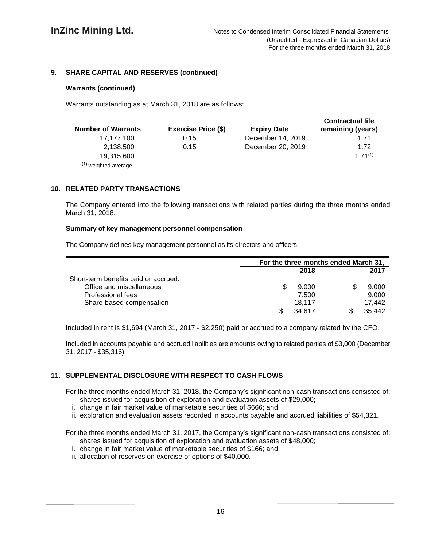# **9. SHARE CAPITAL AND RESERVES (continued)**

## **Warrants (continued)**

Warrants outstanding as at March 31, 2018 are as follows:

| <b>Number of Warrants</b> | <b>Exercise Price (\$)</b> | <b>Expiry Date</b> | <b>Contractual life</b><br>remaining (years) |
|---------------------------|----------------------------|--------------------|----------------------------------------------|
| 17,177,100                | 0.15                       | December 14, 2019  | 1.71                                         |
| 2,138,500                 | 0.15                       | December 20, 2019  | 1.72                                         |
| 19,315,600                |                            |                    | $1.71^{(1)}$                                 |
| .                         |                            |                    |                                              |

 $(1)$  weighted average

# **10. RELATED PARTY TRANSACTIONS**

The Company entered into the following transactions with related parties during the three months ended March 31, 2018:

#### **Summary of key management personnel compensation**

The Company defines key management personnel as its directors and officers.

|                                      | For the three months ended March 31, |        |  |        |
|--------------------------------------|--------------------------------------|--------|--|--------|
|                                      |                                      | 2018   |  | 2017   |
| Short-term benefits paid or accrued: |                                      |        |  |        |
| Office and miscellaneous             |                                      | 9.000  |  | 9,000  |
| Professional fees                    |                                      | 7.500  |  | 9,000  |
| Share-based compensation             |                                      | 18.117 |  | 17,442 |
|                                      |                                      | 34.617 |  | 35,442 |

Included in rent is \$1,694 (March 31, 2017 - \$2,250) paid or accrued to a company related by the CFO.

Included in accounts payable and accrued liabilities are amounts owing to related parties of \$3,000 (December 31, 2017 - \$35,316).

# **11. SUPPLEMENTAL DISCLOSURE WITH RESPECT TO CASH FLOWS**

For the three months ended March 31, 2018, the Company's significant non-cash transactions consisted of:

- i. shares issued for acquisition of exploration and evaluation assets of \$29,000;
- ii. change in fair market value of marketable securities of \$666; and
- iii. exploration and evaluation assets recorded in accounts payable and accrued liabilities of \$54,321.

For the three months ended March 31, 2017, the Company's significant non-cash transactions consisted of:

- i. shares issued for acquisition of exploration and evaluation assets of \$48,000;
- ii. change in fair market value of marketable securities of \$166; and
- iii. allocation of reserves on exercise of options of \$40,000.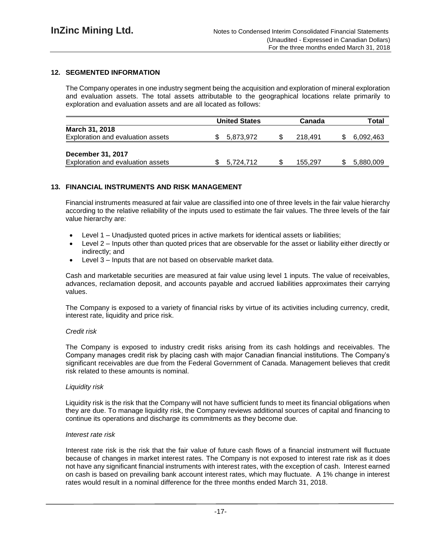# **12. SEGMENTED INFORMATION**

The Company operates in one industry segment being the acquisition and exploration of mineral exploration and evaluation assets. The total assets attributable to the geographical locations relate primarily to exploration and evaluation assets and are all located as follows:

|                                                        | <b>United States</b> | Canada  |     | Total     |
|--------------------------------------------------------|----------------------|---------|-----|-----------|
| March 31, 2018<br>Exploration and evaluation assets    | 5,873,972            | 218.491 | \$. | 6,092,463 |
| December 31, 2017<br>Exploration and evaluation assets | 5,724,712            | 155,297 |     | 5,880,009 |

# **13. FINANCIAL INSTRUMENTS AND RISK MANAGEMENT**

Financial instruments measured at fair value are classified into one of three levels in the fair value hierarchy according to the relative reliability of the inputs used to estimate the fair values. The three levels of the fair value hierarchy are:

- Level 1 Unadjusted quoted prices in active markets for identical assets or liabilities;
- Level 2 Inputs other than quoted prices that are observable for the asset or liability either directly or indirectly; and
- Level 3 Inputs that are not based on observable market data.

Cash and marketable securities are measured at fair value using level 1 inputs. The value of receivables, advances, reclamation deposit, and accounts payable and accrued liabilities approximates their carrying values.

The Company is exposed to a variety of financial risks by virtue of its activities including currency, credit, interest rate, liquidity and price risk.

#### *Credit risk*

The Company is exposed to industry credit risks arising from its cash holdings and receivables. The Company manages credit risk by placing cash with major Canadian financial institutions. The Company's significant receivables are due from the Federal Government of Canada. Management believes that credit risk related to these amounts is nominal.

#### *Liquidity risk*

Liquidity risk is the risk that the Company will not have sufficient funds to meet its financial obligations when they are due. To manage liquidity risk, the Company reviews additional sources of capital and financing to continue its operations and discharge its commitments as they become due.

#### *Interest rate risk*

Interest rate risk is the risk that the fair value of future cash flows of a financial instrument will fluctuate because of changes in market interest rates. The Company is not exposed to interest rate risk as it does not have any significant financial instruments with interest rates, with the exception of cash. Interest earned on cash is based on prevailing bank account interest rates, which may fluctuate. A 1% change in interest rates would result in a nominal difference for the three months ended March 31, 2018.